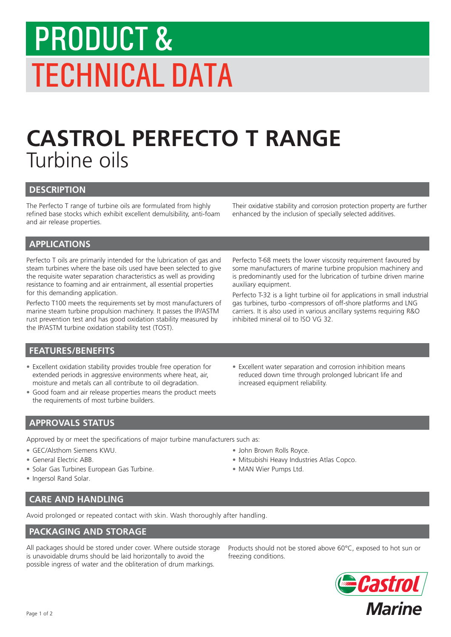# PRODUCT & TECHNICAL DATA

# **CASTROL PERFECTO T RANGE** Turbine oils

#### **DESCRIPTION**

The Perfecto T range of turbine oils are formulated from highly refined base stocks which exhibit excellent demulsibility, anti-foam and air release properties.

Their oxidative stability and corrosion protection property are further enhanced by the inclusion of specially selected additives.

# **APPLICATIONS**

Perfecto T oils are primarily intended for the lubrication of gas and steam turbines where the base oils used have been selected to give the requisite water separation characteristics as well as providing resistance to foaming and air entrainment, all essential properties for this demanding application.

Perfecto T100 meets the requirements set by most manufacturers of marine steam turbine propulsion machinery. It passes the IP/ASTM rust prevention test and has good oxidation stability measured by the IP/ASTM turbine oxidation stability test (TOST).

Perfecto T-68 meets the lower viscosity requirement favoured by some manufacturers of marine turbine propulsion machinery and is predominantly used for the lubrication of turbine driven marine auxiliary equipment.

Perfecto T-32 is a light turbine oil for applications in small industrial gas turbines, turbo -compressors of off-shore platforms and LNG carriers. It is also used in various ancillary systems requiring R&O inhibited mineral oil to lSO VG 32.

# **FEATURES/BENEFITS**

- Excellent oxidation stability provides trouble free operation for extended periods in aggressive environments where heat, air, moisture and metals can all contribute to oil degradation.
- Good foam and air release properties means the product meets the requirements of most turbine builders.
- Excellent water separation and corrosion inhibition means reduced down time through prolonged lubricant life and increased equipment reliability.

# **APPROVALS STATUS**

Approved by or meet the specifications of major turbine manufacturers such as:

- GEC/Alsthom Siemens KWU.
- General Electric ABB.
- Solar Gas Turbines European Gas Turbine.
- Ingersol Rand Solar.

#### • John Brown Rolls Royce.

- Mitsubishi Heavy Industries Atlas Copco.
- MAN Wier Pumps Ltd.

**CARE AND HANDLING**

Avoid prolonged or repeated contact with skin. Wash thoroughly after handling.

# **PACKAGING AND STORAGE**

All packages should be stored under cover. Where outside storage is unavoidable drums should be laid horizontally to avoid the possible ingress of water and the obliteration of drum markings.

Products should not be stored above 60°C, exposed to hot sun or freezing conditions.